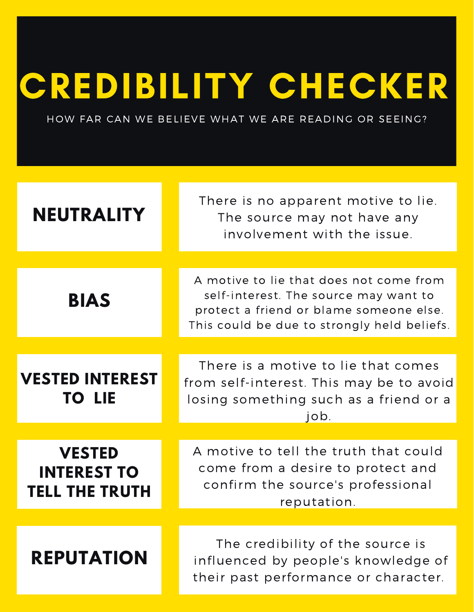## CREDIBILITY CHECKER

HOW FAR CAN WE BELIEVE WHAT WE ARE READING OR SEEING?

| <b>NEUTRALITY</b>                                            | There is no apparent motive to lie.<br>The source may not have any<br>involvement with the issue.                                                                          |
|--------------------------------------------------------------|----------------------------------------------------------------------------------------------------------------------------------------------------------------------------|
| <b>BIAS</b>                                                  | A motive to lie that does not come from<br>self-interest. The source may want to<br>protect a friend or blame someone else.<br>This could be due to strongly held beliefs. |
|                                                              |                                                                                                                                                                            |
| <b>VESTED INTEREST</b><br><b>TO LIE</b>                      | There is a motive to lie that comes<br>from self-interest. This may be to avoid<br>losing something such as a friend or a<br>job.                                          |
|                                                              |                                                                                                                                                                            |
| <b>VESTED</b><br><b>INTEREST TO</b><br><b>TELL THE TRUTH</b> | A motive to tell the truth that could<br>come from a desire to protect and<br>confirm the source's professional<br>reputation.                                             |
|                                                              |                                                                                                                                                                            |
| <b>REPUTATION</b>                                            | The credibility of the source is<br>influenced by people's knowledge of<br>their past performance or character.                                                            |